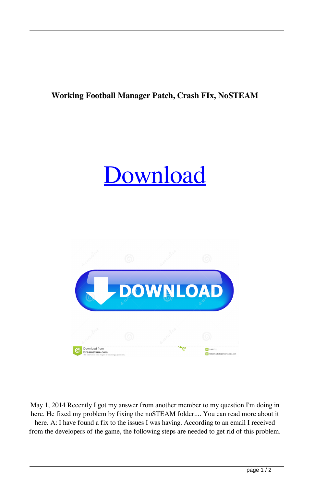## **Working Football Manager Patch, Crash FIx, NoSTEAM**

## [Download](http://evacdir.com/dendrite/intercontinental.customizations.V29ya2luZyBGb290YmFsbCBNYW5hZ2VyIFBhdGNoLCBDcmFzaCBGSXgsIG5vU1RFQU0V29.requisitions/?ritualized=ZG93bmxvYWR8UEoyYm5sd2ZId3hOalV5TnpRd09EWTJmSHd5TlRjMGZId29UU2tnY21WaFpDMWliRzluSUZ0R1lYTjBJRWRGVGww)



May 1, 2014 Recently I got my answer from another member to my question I'm doing in here. He fixed my problem by fixing the noSTEAM folder.... You can read more about it here. A: I have found a fix to the issues I was having. According to an email I received from the developers of the game, the following steps are needed to get rid of this problem.